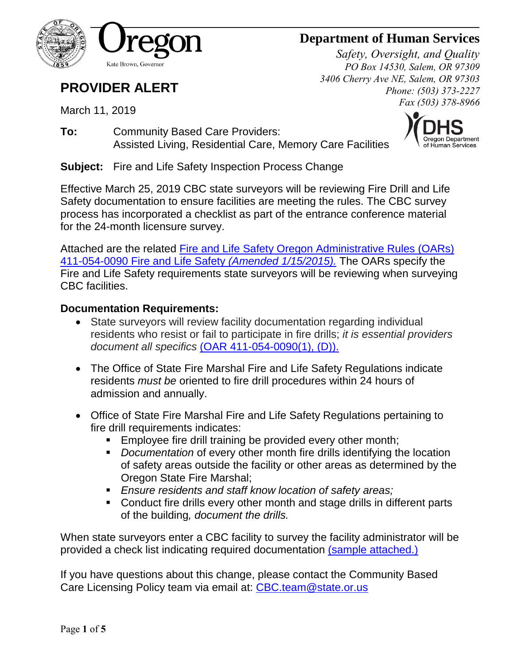

# **Department of Human Services**

*Safety, Oversight, and Quality PO Box 14530, Salem, OR 97309 3406 Cherry Ave NE, Salem, OR 97303 Phone: (503) 373-2227 Fax (503) 378-8966*

# **PROVIDER ALERT**

March 11, 2019

**To:** Community Based Care Providers: Assisted Living, Residential Care, Memory Care Facilities



**Subject:** Fire and Life Safety Inspection Process Change

Effective March 25, 2019 CBC state surveyors will be reviewing Fire Drill and Life Safety documentation to ensure facilities are meeting the rules. The CBC survey process has incorporated a checklist as part of the entrance conference material for the 24-month licensure survey.

Attached are the related Fire and Life Safety Oregon Administrative Rules (OARs) [411-054-0090 Fire and Life Safety](#page-1-0) *(Amended 1/15/2015).* The OARs specify the Fire and Life Safety requirements state surveyors will be reviewing when surveying CBC facilities.

### **Documentation Requirements:**

- State surveyors will review facility documentation regarding individual residents who resist or fail to participate in fire drills; *it is essential providers document all specifics* [\(OAR 411-054-0090\(1\), \(D\)\).](#page-1-1)
- The Office of State Fire Marshal Fire and Life Safety Regulations indicate residents *must be* oriented to fire drill procedures within 24 hours of admission and annually.
- Office of State Fire Marshal Fire and Life Safety Regulations pertaining to fire drill requirements indicates:
	- **Employee fire drill training be provided every other month;**
	- *Documentation* of every other month fire drills identifying the location of safety areas outside the facility or other areas as determined by the Oregon State Fire Marshal;
	- *Ensure residents and staff know location of safety areas;*
	- Conduct fire drills every other month and stage drills in different parts of the building*, document the drills.*

When state surveyors enter a CBC facility to survey the facility administrator will be provided a check list indicating required documentation [\(sample attached.\)](#page-3-0)

If you have questions about this change, please contact the Community Based Care Licensing Policy team via email at: [CBC.team@state.or.us](mailto:CBC.team@state.or.us)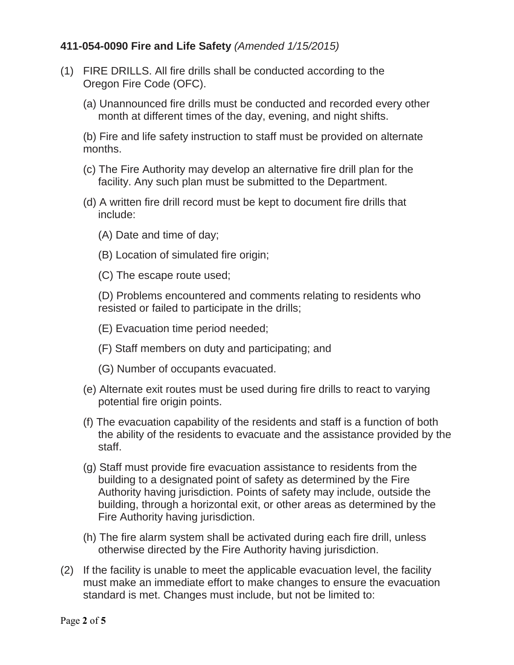### <span id="page-1-0"></span>**411-054-0090 Fire and Life Safety** *(Amended 1/15/2015)*

- (1) FIRE DRILLS. All fire drills shall be conducted according to the Oregon Fire Code (OFC).
	- (a) Unannounced fire drills must be conducted and recorded every other month at different times of the day, evening, and night shifts.

(b) Fire and life safety instruction to staff must be provided on alternate months.

- (c) The Fire Authority may develop an alternative fire drill plan for the facility. Any such plan must be submitted to the Department.
- (d) A written fire drill record must be kept to document fire drills that include:
	- (A) Date and time of day;
	- (B) Location of simulated fire origin;
	- (C) The escape route used;

<span id="page-1-1"></span>(D) Problems encountered and comments relating to residents who resisted or failed to participate in the drills;

- (E) Evacuation time period needed;
- (F) Staff members on duty and participating; and
- (G) Number of occupants evacuated.
- (e) Alternate exit routes must be used during fire drills to react to varying potential fire origin points.
- (f) The evacuation capability of the residents and staff is a function of both the ability of the residents to evacuate and the assistance provided by the staff.
- (g) Staff must provide fire evacuation assistance to residents from the building to a designated point of safety as determined by the Fire Authority having jurisdiction. Points of safety may include, outside the building, through a horizontal exit, or other areas as determined by the Fire Authority having jurisdiction.
- (h) The fire alarm system shall be activated during each fire drill, unless otherwise directed by the Fire Authority having jurisdiction.
- (2) If the facility is unable to meet the applicable evacuation level, the facility must make an immediate effort to make changes to ensure the evacuation standard is met. Changes must include, but not be limited to: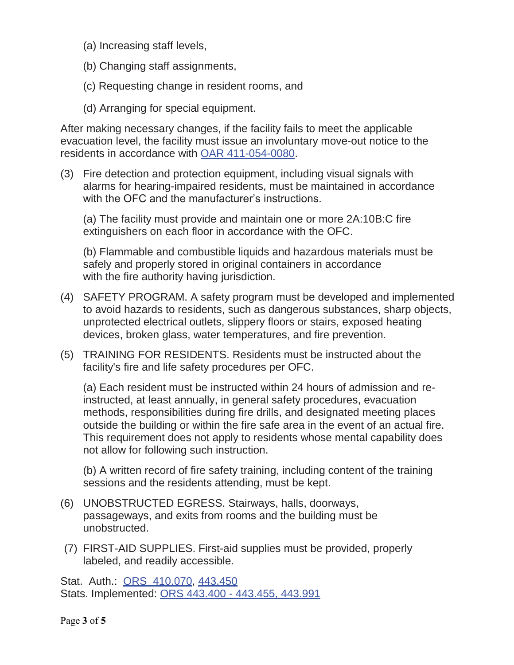- (a) Increasing staff levels,
- (b) Changing staff assignments,
- (c) Requesting change in resident rooms, and
- (d) Arranging for special equipment.

After making necessary changes, if the facility fails to meet the applicable evacuation level, the facility must issue an involuntary move-out notice to the residents in accordance with OAR 411-054-0080.

(3) Fire detection and protection equipment, including visual signals with alarms for hearing-impaired residents, must be maintained in accordance with the OFC and the manufacturer's instructions.

(a) The facility must provide and maintain one or more 2A:10B:C fire extinguishers on each floor in accordance with the OFC.

(b) Flammable and combustible liquids and hazardous materials must be safely and properly stored in original containers in accordance with the fire authority having jurisdiction.

- (4) SAFETY PROGRAM. A safety program must be developed and implemented to avoid hazards to residents, such as dangerous substances, sharp objects, unprotected electrical outlets, slippery floors or stairs, exposed heating devices, broken glass, water temperatures, and fire prevention.
- (5) TRAINING FOR RESIDENTS. Residents must be instructed about the facility's fire and life safety procedures per OFC.

(a) Each resident must be instructed within 24 hours of admission and reinstructed, at least annually, in general safety procedures, evacuation methods, responsibilities during fire drills, and designated meeting places outside the building or within the fire safe area in the event of an actual fire. This requirement does not apply to residents whose mental capability does not allow for following such instruction.

(b) A written record of fire safety training, including content of the training sessions and the residents attending, must be kept.

- (6) UNOBSTRUCTED EGRESS. Stairways, halls, doorways, passageways, and exits from rooms and the building must be unobstructed.
- (7) FIRST-AID SUPPLIES. First-aid supplies must be provided, properly labeled, and readily accessible.

Stat. Auth.: ORS 410.070, 443.450 Stats. Implemented: ORS 443.400 - 443.455, 443.991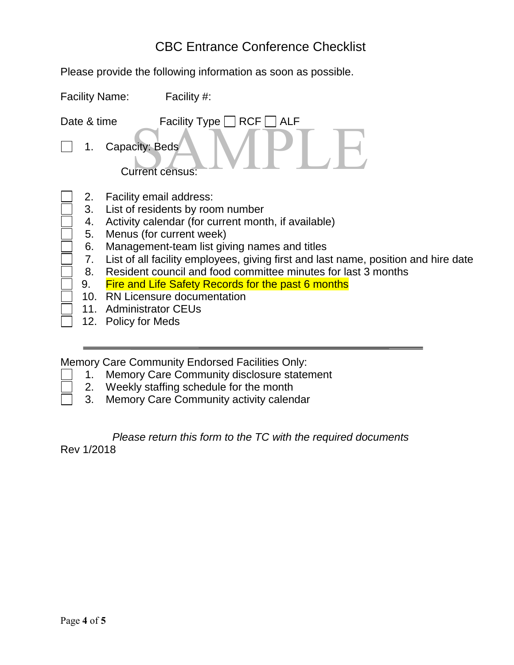## CBC Entrance Conference Checklist

<span id="page-3-0"></span>Please provide the following information as soon as possible.

| <b>Facility Name:</b>                                      | Facility #:                                                                                                                                                                                                                                                                                                                                                                                                                                                                          |
|------------------------------------------------------------|--------------------------------------------------------------------------------------------------------------------------------------------------------------------------------------------------------------------------------------------------------------------------------------------------------------------------------------------------------------------------------------------------------------------------------------------------------------------------------------|
| Date & time                                                | Facility Type $\Box$ RCF $\Box$ ALF                                                                                                                                                                                                                                                                                                                                                                                                                                                  |
|                                                            | Capacity: Beds<br><b>Current census:</b>                                                                                                                                                                                                                                                                                                                                                                                                                                             |
| 2.<br>3.<br>4.<br>5.<br>6.<br>7.<br>8.<br>9.<br>10.<br>11. | Facility email address:<br>List of residents by room number<br>Activity calendar (for current month, if available)<br>Menus (for current week)<br>Management-team list giving names and titles<br>List of all facility employees, giving first and last name, position and hire date<br>Resident council and food committee minutes for last 3 months<br><b>Fire and Life Safety Records for the past 6 months</b><br><b>RN Licensure documentation</b><br><b>Administrator CEUs</b> |
| 12.                                                        | Policy for Meds                                                                                                                                                                                                                                                                                                                                                                                                                                                                      |

Memory Care Community Endorsed Facilities Only:

- 1. Memory Care Community disclosure statement
- 2. Weekly staffing schedule for the month
- 3. Memory Care Community activity calendar

### *Please return this form to the TC with the required documents*

Rev 1/2018